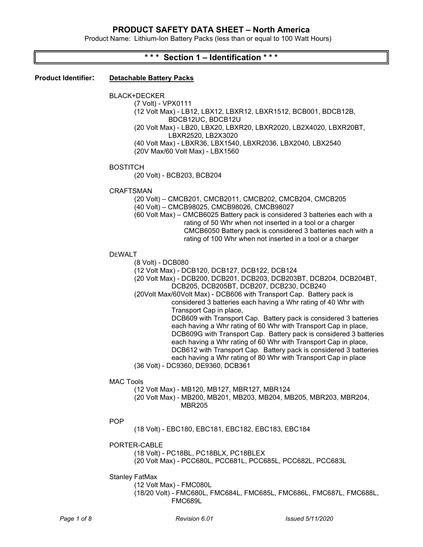Product Name: Lithium-Ion Battery Packs (less than or equal to 100 Watt Hours)

## \* \* \* Section 1 – Identification \* \* \*

#### Product Identifier: Detachable Battery Packs

BLACK+DECKER

(7 Volt) - VPX0111 (12 Volt Max) - LB12, LBX12, LBXR12, LBXR1512, BCB001, BDCB12B, BDCB12UC, BDCB12U (20 Volt Max) - LB20, LBX20, LBXR20, LBXR2020, LB2X4020, LBXR20BT, LBXR2520, LB2X3020

(40 Volt Max) - LBXR36, LBX1540, LBXR2036, LBX2040, LBX2540 (20V Max/60 Volt Max) - LBX1560

#### **BOSTITCH**

(20 Volt) - BCB203, BCB204

#### CRAFTSMAN

(20 Volt) – CMCB201, CMCB2011, CMCB202, CMCB204, CMCB205

(40 Volt) – CMCB98025, CMCB98026, CMCB98027

(60 Volt Max) – CMCB6025 Battery pack is considered 3 batteries each with a rating of 50 Whr when not inserted in a tool or a charger CMCB6050 Battery pack is considered 3 batteries each with a rating of 100 Whr when not inserted in a tool or a charger

## DEWALT

(8 Volt) - DCB080

(12 Volt Max) - DCB120, DCB127, DCB122, DCB124

(20 Volt Max) - DCB200, DCB201, DCB203, DCB203BT, DCB204, DCB204BT, DCB205, DCB205BT, DCB207, DCB230, DCB240

(20Volt Max/60Volt Max) - DCB606 with Transport Cap. Battery pack is considered 3 batteries each having a Whr rating of 40 Whr with Transport Cap in place,

DCB609 with Transport Cap. Battery pack is considered 3 batteries each having a Whr rating of 60 Whr with Transport Cap in place, DCB609G with Transport Cap. Battery pack is considered 3 batteries each having a Whr rating of 60 Whr with Transport Cap in place, DCB612 with Transport Cap. Battery pack is considered 3 batteries each having a Whr rating of 80 Whr with Transport Cap in place (36 Volt) - DC9360, DE9360, DCB361

MAC Tools

(12 Volt Max) - MB120, MB127, MBR127, MBR124

(20 Volt Max) - MB200, MB201, MB203, MB204, MB205, MBR203, MBR204, MBR205

## POP

(18 Volt) - EBC180, EBC181, EBC182, EBC183, EBC184

## PORTER-CABLE

(18 Volt) - PC18BL, PC18BLX, PC18BLEX (20 Volt Max) - PCC680L, PCC681L, PCC685L, PCC682L, PCC683L

Stanley FatMax

(12 Volt Max) - FMC080L (18/20 Volt) - FMC680L, FMC684L, FMC685L, FMC686L, FMC687L, FMC688L, FMC689L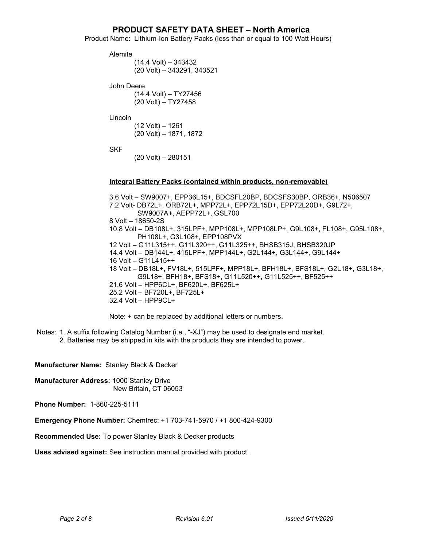Product Name: Lithium-Ion Battery Packs (less than or equal to 100 Watt Hours)

Alemite

```
(14.4 Volt) – 343432 
(20 Volt) – 343291, 343521
```
John Deere

(14.4 Volt) – TY27456 (20 Volt) – TY27458

Lincoln

(12 Volt) – 1261 (20 Volt) – 1871, 1872

SKF

(20 Volt) – 280151

## Integral Battery Packs (contained within products, non-removable)

3.6 Volt – SW9007+, EPP36L15+, BDCSFL20BP, BDCSFS30BP, ORB36+, N506507 7.2 Volt- DB72L+, ORB72L+, MPP72L+, EPP72L15D+, EPP72L20D+, G9L72+, SW9007A+, AEPP72L+, GSL700 8 Volt – 18650-2S 10.8 Volt – DB108L+, 315LPF+, MPP108L+, MPP108LP+, G9L108+, FL108+, G95L108+, PH108L+, G3L108+, EPP108PVX 12 Volt – G11L315++, G11L320++, G11L325++, BHSB315J, BHSB320JP 14.4 Volt – DB144L+, 415LPF+, MPP144L+, G2L144+, G3L144+, G9L144+ 16 Volt – G11L415++ 18 Volt – DB18L+, FV18L+, 515LPF+, MPP18L+, BFH18L+, BFS18L+, G2L18+, G3L18+, G9L18+, BFH18+, BFS18+, G11L520++, G11L525++, BF525++ 21.6 Volt – HPP6CL+, BF620L+, BF625L+ 25.2 Volt – BF720L+, BF725L+ 32.4 Volt – HPP9CL+

Note: + can be replaced by additional letters or numbers.

 Notes: 1. A suffix following Catalog Number (i.e., "-XJ") may be used to designate end market. 2. Batteries may be shipped in kits with the products they are intended to power.

Manufacturer Name: Stanley Black & Decker

Manufacturer Address: 1000 Stanley Drive New Britain, CT 06053

Phone Number: 1-860-225-5111

Emergency Phone Number: Chemtrec: +1 703-741-5970 / +1 800-424-9300

Recommended Use: To power Stanley Black & Decker products

Uses advised against: See instruction manual provided with product.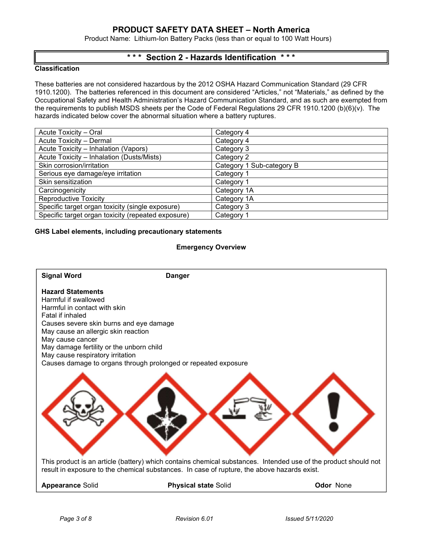Product Name: Lithium-Ion Battery Packs (less than or equal to 100 Watt Hours)

# \* \* \* Section 2 - Hazards Identification \* \* \*

## **Classification**

These batteries are not considered hazardous by the 2012 OSHA Hazard Communication Standard (29 CFR 1910.1200). The batteries referenced in this document are considered "Articles," not "Materials," as defined by the Occupational Safety and Health Administration's Hazard Communication Standard, and as such are exempted from the requirements to publish MSDS sheets per the Code of Federal Regulations 29 CFR 1910.1200 (b)(6)(v). The hazards indicated below cover the abnormal situation where a battery ruptures.

| Acute Toxicity - Oral                              | Category 4                |
|----------------------------------------------------|---------------------------|
| Acute Toxicity - Dermal                            | Category 4                |
| Acute Toxicity - Inhalation (Vapors)               | Category 3                |
| Acute Toxicity - Inhalation (Dusts/Mists)          | Category 2                |
| Skin corrosion/irritation                          | Category 1 Sub-category B |
| Serious eye damage/eye irritation                  | Category 1                |
| Skin sensitization                                 | Category 1                |
| Carcinogenicity                                    | Category 1A               |
| <b>Reproductive Toxicity</b>                       | Category 1A               |
| Specific target organ toxicity (single exposure)   | Category 3                |
| Specific target organ toxicity (repeated exposure) | Category 1                |

#### GHS Label elements, including precautionary statements

#### Emergency Overview

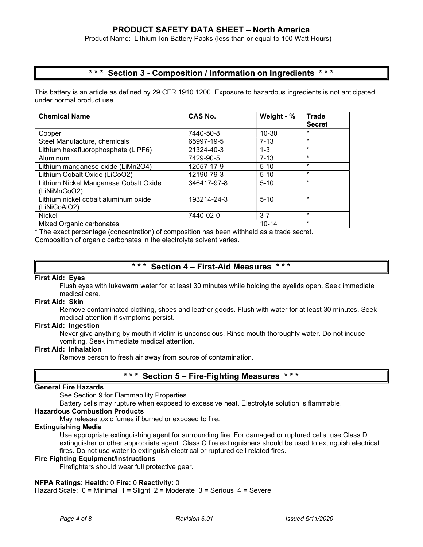Product Name: Lithium-Ion Battery Packs (less than or equal to 100 Watt Hours)

# \*\*\* Section 3 - Composition / Information on Ingredients

This battery is an article as defined by 29 CFR 1910.1200. Exposure to hazardous ingredients is not anticipated under normal product use.

| <b>Chemical Name</b>                                  | CAS No.     | Weight - % | <b>Trade</b><br><b>Secret</b> |
|-------------------------------------------------------|-------------|------------|-------------------------------|
| Copper                                                | 7440-50-8   | $10 - 30$  | $\star$                       |
| Steel Manufacture, chemicals                          | 65997-19-5  | $7 - 13$   | $\star$                       |
| Lithium hexafluorophosphate (LiPF6)                   | 21324-40-3  | $1 - 3$    | $\star$                       |
| Aluminum                                              | 7429-90-5   | $7 - 13$   | $\star$                       |
| Lithium manganese oxide (LiMn2O4)                     | 12057-17-9  | $5 - 10$   | $\star$                       |
| Lithium Cobalt Oxide (LiCoO2)                         | 12190-79-3  | $5 - 10$   | $\star$                       |
| Lithium Nickel Manganese Cobalt Oxide<br>(LiNiMnCoO2) | 346417-97-8 | $5 - 10$   | $\star$                       |
| Lithium nickel cobalt aluminum oxide<br>(LiNiCoAIO2)  | 193214-24-3 | $5 - 10$   | $\star$                       |
| Nickel                                                | 7440-02-0   | $3 - 7$    | $\star$                       |
| Mixed Organic carbonates                              |             | $10 - 14$  | $\star$                       |

\* The exact percentage (concentration) of composition has been withheld as a trade secret.

Composition of organic carbonates in the electrolyte solvent varies.

## \* \* \* Section 4 – First-Aid Measures

## First Aid: Eyes

Flush eyes with lukewarm water for at least 30 minutes while holding the eyelids open. Seek immediate medical care.

## First Aid: Skin

Remove contaminated clothing, shoes and leather goods. Flush with water for at least 30 minutes. Seek medical attention if symptoms persist.

#### First Aid: Ingestion

Never give anything by mouth if victim is unconscious. Rinse mouth thoroughly water. Do not induce vomiting. Seek immediate medical attention.

#### First Aid: Inhalation

Remove person to fresh air away from source of contamination.

## \*\*\* Section 5 – Fire-Fighting Measures \*\*\*

## General Fire Hazards

See Section 9 for Flammability Properties.

Battery cells may rupture when exposed to excessive heat. Electrolyte solution is flammable.

## Hazardous Combustion Products

May release toxic fumes if burned or exposed to fire.

## Extinguishing Media

Use appropriate extinguishing agent for surrounding fire. For damaged or ruptured cells, use Class D extinguisher or other appropriate agent. Class C fire extinguishers should be used to extinguish electrical fires. Do not use water to extinguish electrical or ruptured cell related fires.

#### Fire Fighting Equipment/Instructions

Firefighters should wear full protective gear.

## NFPA Ratings: Health: 0 Fire: 0 Reactivity: 0

Hazard Scale: 0 = Minimal 1 = Slight 2 = Moderate 3 = Serious 4 = Severe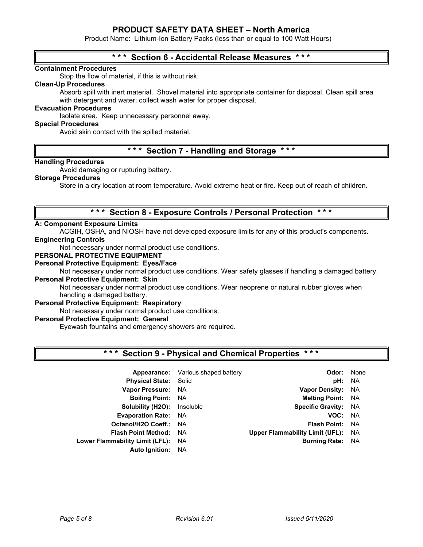Product Name: Lithium-Ion Battery Packs (less than or equal to 100 Watt Hours)

## \*\*\* Section 6 - Accidental Release Measures

## Containment Procedures

Stop the flow of material, if this is without risk.

## Clean-Up Procedures

Absorb spill with inert material. Shovel material into appropriate container for disposal. Clean spill area with detergent and water; collect wash water for proper disposal.

## Evacuation Procedures

Isolate area. Keep unnecessary personnel away.

#### Special Procedures

Avoid skin contact with the spilled material.

# \*\*\* Section 7 - Handling and Storage \*\*\*

#### Handling Procedures

Avoid damaging or rupturing battery.

## Storage Procedures

Store in a dry location at room temperature. Avoid extreme heat or fire. Keep out of reach of children.

## \* \* \* Section 8 - Exposure Controls / Personal Protection \* \* \*

#### A: Component Exposure Limits

ACGIH, OSHA, and NIOSH have not developed exposure limits for any of this product's components.

## Engineering Controls

Not necessary under normal product use conditions.

## PERSONAL PROTECTIVE EQUIPMENT

#### Personal Protective Equipment: Eyes/Face

Not necessary under normal product use conditions. Wear safety glasses if handling a damaged battery. Personal Protective Equipment: Skin

Not necessary under normal product use conditions. Wear neoprene or natural rubber gloves when handling a damaged battery.

#### Personal Protective Equipment: Respiratory

Not necessary under normal product use conditions.

## Personal Protective Equipment: General

Eyewash fountains and emergency showers are required.

## Section 9 - Physical and Chemical Properties \*\*\*

| Appearance:                     | Various shaped battery | Odor:                                  | None      |
|---------------------------------|------------------------|----------------------------------------|-----------|
| <b>Physical State: Solid</b>    |                        | pH:                                    | <b>NA</b> |
| <b>Vapor Pressure:</b>          | NA.                    | <b>Vapor Density:</b>                  | NA        |
| <b>Boiling Point:</b>           | NA.                    | <b>Melting Point:</b>                  | <b>NA</b> |
| Solubility (H2O):               | Insoluble              | <b>Specific Gravity:</b>               | <b>NA</b> |
| <b>Evaporation Rate:</b>        | NA.                    | VOC:                                   | <b>NA</b> |
| Octanol/H2O Coeff.: NA          |                        | <b>Flash Point:</b>                    | <b>NA</b> |
| <b>Flash Point Method:</b>      | NA.                    | <b>Upper Flammability Limit (UFL):</b> | <b>NA</b> |
| Lower Flammability Limit (LFL): | NA.                    | <b>Burning Rate:</b>                   | NA        |
| <b>Auto Ignition:</b>           | NA.                    |                                        |           |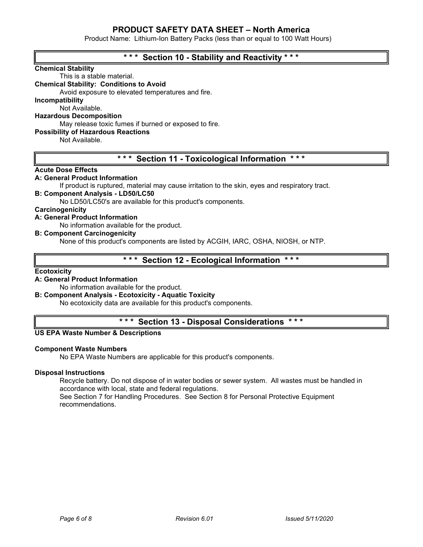Product Name: Lithium-Ion Battery Packs (less than or equal to 100 Watt Hours)

| *** Section 10 - Stability and Reactivity ***                                                  |
|------------------------------------------------------------------------------------------------|
| <b>Chemical Stability</b>                                                                      |
| This is a stable material.                                                                     |
| <b>Chemical Stability: Conditions to Avoid</b>                                                 |
| Avoid exposure to elevated temperatures and fire.                                              |
| Incompatibility                                                                                |
| Not Available.                                                                                 |
| <b>Hazardous Decomposition</b>                                                                 |
| May release toxic fumes if burned or exposed to fire.                                          |
| <b>Possibility of Hazardous Reactions</b>                                                      |
| Not Available.                                                                                 |
|                                                                                                |
| * * *                                                                                          |
| $***$<br><b>Section 11 - Toxicological Information</b>                                         |
| <b>Acute Dose Effects</b>                                                                      |
| A: General Product Information                                                                 |
| If product is ruptured, material may cause irritation to the skin, eyes and respiratory tract. |
| <b>B: Component Analysis - LD50/LC50</b>                                                       |
| No LD50/LC50's are available for this product's components.                                    |
| Carcinogenicity                                                                                |
| A: General Product Information                                                                 |
| No information available for the product.                                                      |
| <b>B: Component Carcinogenicity</b>                                                            |
| None of this product's components are listed by ACGIH, IARC, OSHA, NIOSH, or NTP.              |

# \*\*\* Section 12 - Ecological Information \*\*\*

#### **Ecotoxicity**

## A: General Product Information

No information available for the product.

## B: Component Analysis - Ecotoxicity - Aquatic Toxicity

No ecotoxicity data are available for this product's components.

## \*\*\* Section 13 - Disposal Considerations \*\*\*

#### US EPA Waste Number & Descriptions

#### Component Waste Numbers

No EPA Waste Numbers are applicable for this product's components.

#### Disposal Instructions

Recycle battery. Do not dispose of in water bodies or sewer system. All wastes must be handled in accordance with local, state and federal regulations. See Section 7 for Handling Procedures. See Section 8 for Personal Protective Equipment recommendations.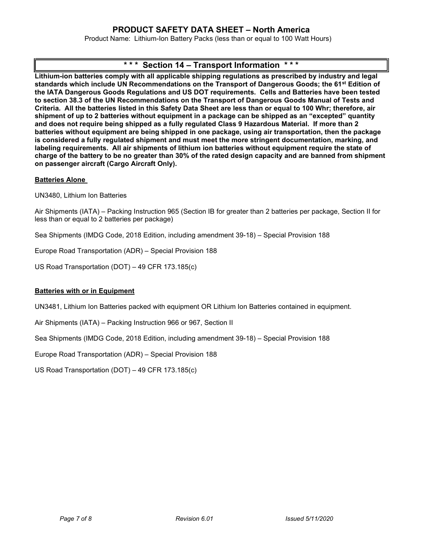Product Name: Lithium-Ion Battery Packs (less than or equal to 100 Watt Hours)

# \* \* \* Section 14 – Transport Information

Lithium-ion batteries comply with all applicable shipping regulations as prescribed by industry and legal standards which include UN Recommendations on the Transport of Dangerous Goods; the 61<sup>st</sup> Edition of the IATA Dangerous Goods Regulations and US DOT requirements. Cells and Batteries have been tested to section 38.3 of the UN Recommendations on the Transport of Dangerous Goods Manual of Tests and Criteria. All the batteries listed in this Safety Data Sheet are less than or equal to 100 Whr; therefore, air shipment of up to 2 batteries without equipment in a package can be shipped as an "excepted" quantity and does not require being shipped as a fully regulated Class 9 Hazardous Material. If more than 2 batteries without equipment are being shipped in one package, using air transportation, then the package is considered a fully regulated shipment and must meet the more stringent documentation, marking, and labeling requirements. All air shipments of lithium ion batteries without equipment require the state of charge of the battery to be no greater than 30% of the rated design capacity and are banned from shipment on passenger aircraft (Cargo Aircraft Only).

## Batteries Alone

UN3480, Lithium Ion Batteries

Air Shipments (IATA) – Packing Instruction 965 (Section IB for greater than 2 batteries per package, Section II for less than or equal to 2 batteries per package)

Sea Shipments (IMDG Code, 2018 Edition, including amendment 39-18) – Special Provision 188

Europe Road Transportation (ADR) – Special Provision 188

US Road Transportation (DOT) – 49 CFR 173.185(c)

## Batteries with or in Equipment

UN3481, Lithium Ion Batteries packed with equipment OR Lithium Ion Batteries contained in equipment.

Air Shipments (IATA) – Packing Instruction 966 or 967, Section II

Sea Shipments (IMDG Code, 2018 Edition, including amendment 39-18) – Special Provision 188

Europe Road Transportation (ADR) – Special Provision 188

US Road Transportation (DOT) – 49 CFR 173.185(c)